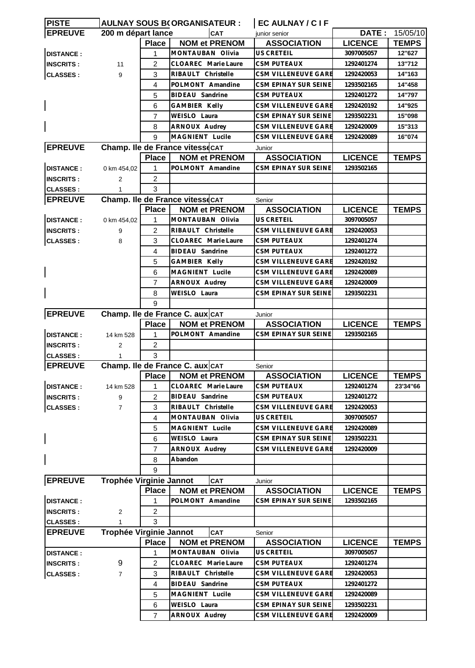| <b>IPISTE</b>    |                         |                | <b>AULNAY SOUS B(ORGANISATEUR:</b>                      | EC AULNAY / C I F            |                |              |
|------------------|-------------------------|----------------|---------------------------------------------------------|------------------------------|----------------|--------------|
| <b>EPREUVE</b>   | 200 m départ lance      |                | <b>CAT</b>                                              | junior senior                | DATE:          | 15/05/10     |
|                  |                         | <b>Place</b>   | <b>NOM et PRENOM</b>                                    | <b>ASSOCIATION</b>           | <b>LICENCE</b> | <b>TEMPS</b> |
| <b>DISTANCE:</b> |                         | 1              | MONTAUBAN Olivia                                        | <b>US CRETEIL</b>            | 3097005057     | 12"627       |
| <b>INSCRITS:</b> | 11                      | $\overline{2}$ | CLOAREC Marie Laure                                     | <b>CSM PUTEAUX</b>           | 1292401274     | 13"712       |
| <b>CLASSES:</b>  | 9                       | 3              | RIBAULT Christelle                                      | CSM VILLENEUVE GARE          | 1292420053     | 14"163       |
|                  |                         | 4              | POLMONT Amandine                                        | CSM EPINAY SUR SEINE         | 1293502165     | 14"458       |
|                  |                         | 5              | BIDEAU Sandrine                                         | CSM PUTEAUX                  | 1292401272     | 14"797       |
|                  |                         | 6              | GAMBIER Kelly                                           | CSM VILLENEUVE GARE          | 1292420192     | 14"925       |
|                  |                         | 7              | WEISLO Laura                                            | CSM EPINAY SUR SEINE         | 1293502231     | 15"098       |
|                  |                         | 8              | ARNOUX Audrey                                           | CSM VILLENEUVE GARE          | 1292420009     | 15"313       |
|                  |                         | 9              | MAGNIENT Lucile                                         | <b>CSM VILLENEUVE GARE</b>   | 1292420089     | 16"074       |
| <b>EPREUVE</b>   |                         |                |                                                         |                              |                |              |
|                  |                         |                | Champ. Ile de France vitessecAT<br><b>NOM et PRENOM</b> | Junior<br><b>ASSOCIATION</b> | <b>LICENCE</b> | <b>TEMPS</b> |
|                  |                         | <b>Place</b>   |                                                         |                              |                |              |
| <b>DISTANCE:</b> | 0 km 454,02             | 1              | POLMONT Amandine                                        | CSM EPINAY SUR SEINE         | 1293502165     |              |
| <b>INSCRITS:</b> | 2                       | 2              |                                                         |                              |                |              |
| <b>CLASSES:</b>  |                         | 3              |                                                         |                              |                |              |
| <b>EPREUVE</b>   |                         |                | Champ. Ile de France vitessecAT                         | Senior                       |                |              |
|                  |                         | <b>Place</b>   | <b>NOM et PRENOM</b>                                    | <b>ASSOCIATION</b>           | <b>LICENCE</b> | <b>TEMPS</b> |
| <b>DISTANCE:</b> | 0 km 454.02             | 1              | MONTAUBAN Olivia                                        | US CRETEIL                   | 3097005057     |              |
| <b>INSCRITS:</b> | 9                       | 2              | RIBAULT Christelle                                      | CSM VILLENEUVE GARE          | 1292420053     |              |
| <b>CLASSES:</b>  | 8                       | 3              | CLOAREC Marie Laure                                     | CSM PUTEAUX                  | 1292401274     |              |
|                  |                         | 4              | BIDEAU Sandrine                                         | <b>CSM PUTEAUX</b>           | 1292401272     |              |
|                  |                         | 5              | <b>GAMBIER Kelly</b>                                    | CSM VILLENEUVE GARE          | 1292420192     |              |
|                  |                         | 6              | MAGNIENT Lucile                                         | CSM VILLENEUVE GARE          | 1292420089     |              |
|                  |                         | 7              | ARNOUX Audrey                                           | CSM VILLENEUVE GARE          | 1292420009     |              |
|                  |                         | 8              | WEISLO Laura                                            | CSM EPINAY SUR SEINE         | 1293502231     |              |
|                  |                         | 9              |                                                         |                              |                |              |
| <b>EPREUVE</b>   |                         |                | Champ. Ile de France C. aux CAT                         | Junior                       |                |              |
|                  |                         | <b>Place</b>   | <b>NOM et PRENOM</b>                                    | <b>ASSOCIATION</b>           | <b>LICENCE</b> | <b>TEMPS</b> |
| <b>DISTANCE:</b> | 14 km 528               | 1              | POLMONT Amandine                                        | CSM EPINAY SUR SEINE         | 1293502165     |              |
| <b>INSCRITS:</b> | 2                       | 2              |                                                         |                              |                |              |
| <b>CLASSES:</b>  | 1                       | 3              |                                                         |                              |                |              |
| <b>EPREUVE</b>   |                         |                | Champ. Ile de France C. aux CAT                         | Senior                       |                |              |
|                  |                         |                | Place   NOM et PRENOM                                   | <b>ASSOCIATION</b>           | <b>LICENCE</b> | <b>TEMPS</b> |
| <b>DISTANCE:</b> | 14 km 528               | 1              | CLOAREC Marie Laure                                     | CSM PUTEAUX                  | 1292401274     | 23'34"66     |
| <b>INSCRITS:</b> | 9                       | 2              | BIDEAU Sandrine                                         | <b>CSM PUTEAUX</b>           | 1292401272     |              |
| <b>CLASSES:</b>  | $\overline{7}$          | 3              | RIBAULT Christelle                                      | CSM VILLENEUVE GARE          | 1292420053     |              |
|                  |                         | 4              | MONTAUBAN Olivia                                        | <b>US CRETEIL</b>            | 3097005057     |              |
|                  |                         | 5              | MAGNIENT Lucile                                         | CSM VILLENEUVE GARE          | 1292420089     |              |
|                  |                         | 6              | WEISLO Laura                                            | CSM EPINAY SUR SEINE         | 1293502231     |              |
|                  |                         | 7              | ARNOUX Audrey                                           | CSM VILLENEUVE GARE          | 1292420009     |              |
|                  |                         | 8              | Abandon                                                 |                              |                |              |
|                  |                         | 9              |                                                         |                              |                |              |
| <b>EPREUVE</b>   | Trophée Virginie Jannot |                | <b>CAT</b>                                              | Junior                       |                |              |
|                  |                         | <b>Place</b>   | <b>NOM et PRENOM</b>                                    | <b>ASSOCIATION</b>           | <b>LICENCE</b> | <b>TEMPS</b> |
| <b>DISTANCE:</b> |                         | 1              | POLMONT Amandine                                        | CSM EPINAY SUR SEINE         | 1293502165     |              |
| <b>INSCRITS:</b> | 2                       | 2              |                                                         |                              |                |              |
| <b>CLASSES:</b>  |                         | 3              |                                                         |                              |                |              |
| <b>EPREUVE</b>   | Trophée Virginie Jannot |                | <b>CAT</b>                                              | Senior                       |                |              |
|                  |                         | <b>Place</b>   | <b>NOM et PRENOM</b>                                    | <b>ASSOCIATION</b>           | <b>LICENCE</b> | <b>TEMPS</b> |
| <b>DISTANCE:</b> |                         | 1              | MONTAUBAN Olivia                                        | US CRETEIL                   | 3097005057     |              |
| <b>INSCRITS:</b> | 9                       | 2              | CLOAREC Marie Laure                                     | <b>CSM PUTEAUX</b>           | 1292401274     |              |
| <b>CLASSES:</b>  | $\overline{7}$          | 3              | RIBAULT Christelle                                      | CSM VILLENEUVE GARE          | 1292420053     |              |
|                  |                         | $\overline{4}$ | BIDEAU Sandrine                                         | <b>CSM PUTEAUX</b>           | 1292401272     |              |
|                  |                         | 5              | MAGNIENT Lucile                                         | CSM VILLENEUVE GARE          | 1292420089     |              |
|                  |                         | 6              | WEISLO Laura                                            | CSM EPINAY SUR SEINE         | 1293502231     |              |
|                  |                         | $\overline{7}$ | ARNOUX Audrey                                           | CSM VILLENEUVE GARE          | 1292420009     |              |
|                  |                         |                |                                                         |                              |                |              |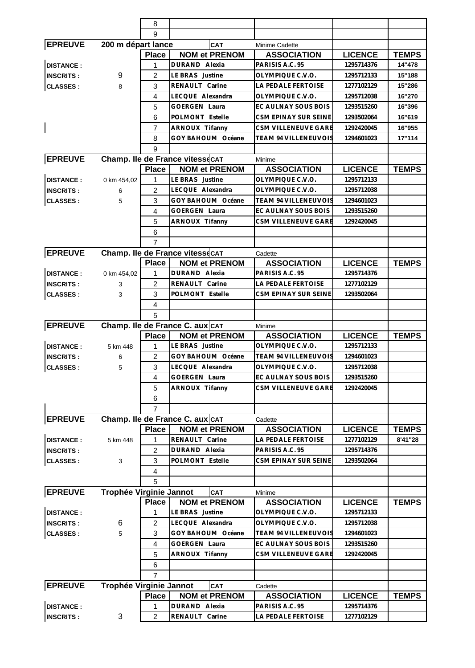|                                      |                         | 8                   |                                 |                                       |                          |              |
|--------------------------------------|-------------------------|---------------------|---------------------------------|---------------------------------------|--------------------------|--------------|
|                                      |                         | 9                   |                                 |                                       |                          |              |
| <b>EPREUVE</b>                       | 200 m départ lance      |                     | <b>CAT</b>                      | Minime Cadette                        |                          |              |
|                                      |                         | <b>Place</b>        | <b>NOM et PRENOM</b>            | <b>ASSOCIATION</b>                    | <b>LICENCE</b>           | <b>TEMPS</b> |
| <b>DISTANCE:</b>                     |                         | 1                   | DURAND Alexia                   | PARISIS A.C. 95                       | 1295714376               | 14"478       |
| <b>INSCRITS:</b>                     | 9                       | 2                   | LE BRAS Justine                 | OLYMPIQUE C.V.O.                      | 1295712133               | 15"188       |
| <b>CLASSES:</b>                      | 8                       | 3                   | RENAULT Carine                  | LA PEDALE FERTOISE                    | 1277102129               | 15"286       |
|                                      |                         | 4                   | LECQUE Alexandra                | OLYMPIQUE C.V.O.                      | 1295712038               | 16"270       |
|                                      |                         | 5                   | <b>GOERGEN Laura</b>            | EC AULNAY SOUS BOIS                   | 1293515260               | 16"396       |
|                                      |                         | 6                   | POLMONT Estelle                 | CSM EPINAY SUR SEINE                  | 1293502064               | 16"619       |
|                                      |                         | 7                   | ARNOUX Tifanny                  | CSM VILLENEUVE GARE                   | 1292420045               | 16"955       |
|                                      |                         | 8                   | GOY BAHOUM Océane               | TEAM 94 VILLENEUVOIS                  | 1294601023               | 17"114       |
|                                      |                         | 9                   |                                 |                                       |                          |              |
| <b>EPREUVE</b>                       |                         |                     | Champ. Ile de France vitessecAT | Minime                                |                          |              |
|                                      |                         | <b>Place</b>        | <b>NOM et PRENOM</b>            | <b>ASSOCIATION</b>                    | <b>LICENCE</b>           | <b>TEMPS</b> |
| <b>DISTANCE:</b>                     | 0 km 454,02             | 1                   | LE BRAS Justine                 | OLYMPIQUE C.V.O.                      | 1295712133               |              |
| <b>INSCRITS:</b>                     | 6                       | 2                   | LECQUE Alexandra                | OLYMPIQUE C.V.O.                      | 1295712038               |              |
| <b>CLASSES:</b>                      | 5                       | 3                   | GOY BAHOUM Océane               | TEAM 94 VILLENEUVOIS                  | 1294601023               |              |
|                                      |                         | 4                   | <b>GOERGEN Laura</b>            | EC AULNAY SOUS BOIS                   | 1293515260               |              |
|                                      |                         | 5                   | ARNOUX Tifanny                  | CSM VILLENEUVE GARE                   | 1292420045               |              |
|                                      |                         | 6                   |                                 |                                       |                          |              |
|                                      |                         | 7                   |                                 |                                       |                          |              |
| <b>EPREUVE</b>                       |                         |                     | Champ. Ile de France vitessecAT | Cadette                               |                          |              |
|                                      |                         | <b>Place</b>        | <b>NOM et PRENOM</b>            | <b>ASSOCIATION</b>                    | <b>LICENCE</b>           | <b>TEMPS</b> |
| <b>DISTANCE:</b>                     | 0 km 454,02             | 1                   | DURAND Alexia                   | PARISIS A.C. 95                       | 1295714376               |              |
| <b>INSCRITS:</b>                     | 3                       | $\overline{c}$      | RENAULT Carine                  | LA PEDALE FERTOISE                    | 1277102129               |              |
| <b>CLASSES:</b>                      | 3                       | 3                   | POLMONT Estelle                 | CSM EPINAY SUR SEINE                  | 1293502064               |              |
|                                      |                         | 4                   |                                 |                                       |                          |              |
|                                      |                         | 5                   |                                 |                                       |                          |              |
| <b>EPREUVE</b>                       |                         |                     | Champ. Ile de France C. aux CAT |                                       |                          |              |
|                                      |                         | <b>Place</b>        | <b>NOM et PRENOM</b>            | Minime<br><b>ASSOCIATION</b>          | <b>LICENCE</b>           | <b>TEMPS</b> |
|                                      |                         |                     |                                 |                                       |                          |              |
|                                      |                         |                     |                                 |                                       |                          |              |
| <b>DISTANCE:</b>                     | 5 km 448                | 1                   | LE BRAS Justine                 | OLYMPIQUE C.V.O.                      | 1295712133               |              |
| <b>INSCRITS:</b>                     | 6                       | $\overline{c}$      | GOY BAHOUM Océane               | <b>TEAM 94 VILLENEUVOIS</b>           | 1294601023               |              |
| <b>CLASSES:</b>                      | 5                       | 3                   | LECQUE Alexandra                | OLYMPIQUE C.V.O.                      | 1295712038               |              |
|                                      |                         | 4                   | GOERGEN Laura                   | EC AULNAY SOUS BOIS                   | 1293515260               |              |
|                                      |                         | 5                   | ARNOUX Tifanny                  | CSM VILLENEUVE GARE                   | 1292420045               |              |
|                                      |                         | 6                   |                                 |                                       |                          |              |
|                                      |                         | $\overline{7}$      |                                 |                                       |                          |              |
| <b>EPREUVE</b>                       |                         |                     | Champ. Ile de France C. aux CAT | Cadette                               |                          |              |
|                                      |                         | <b>Place</b>        | <b>NOM et PRENOM</b>            | <b>ASSOCIATION</b>                    | <b>LICENCE</b>           | <b>TEMPS</b> |
| <b>DISTANCE:</b>                     | 5 km 448                | 1                   | RENAULT Carine                  | LA PEDALE FERTOISE                    | 1277102129               | 8'41"28      |
| <b>INSCRITS:</b>                     |                         | 2                   | DURAND Alexia                   | PARISIS A.C. 95                       | 1295714376               |              |
| <b>CLASSES:</b>                      | 3                       | 3                   | POLMONT Estelle                 | CSM EPINAY SUR SEINE                  | 1293502064               |              |
|                                      |                         | 4                   |                                 |                                       |                          |              |
|                                      |                         | 5                   |                                 |                                       |                          |              |
| <b>EPREUVE</b>                       | Trophée Virginie Jannot |                     | <b>CAT</b>                      | Minime                                |                          |              |
|                                      |                         | <b>Place</b>        | <b>NOM et PRENOM</b>            | <b>ASSOCIATION</b>                    | <b>LICENCE</b>           | <b>TEMPS</b> |
| <b>DISTANCE:</b>                     |                         | 1                   | LE BRAS Justine                 | OLYMPIQUE C.V.O.                      | 1295712133               |              |
| <b>INSCRITS:</b>                     | 6                       | 2                   | LECQUE Alexandra                | OLYMPIQUE C.V.O.                      | 1295712038               |              |
| <b>CLASSES:</b>                      | 5                       | 3                   | GOY BAHOUM Océane               | <b>TEAM 94 VILLENEUVOIS</b>           | 1294601023               |              |
|                                      |                         | 4                   | <b>GOERGEN Laura</b>            | EC AULNAY SOUS BOIS                   | 1293515260               |              |
|                                      |                         | 5                   | ARNOUX Tifanny                  | <b>CSM VILLENEUVE GARE</b>            | 1292420045               |              |
|                                      |                         | 6                   |                                 |                                       |                          |              |
|                                      |                         | $\overline{7}$      |                                 |                                       |                          |              |
| <b>EPREUVE</b>                       | Trophée Virginie Jannot |                     | <b>CAT</b>                      | Cadette                               |                          |              |
|                                      |                         | <b>Place</b>        | <b>NOM et PRENOM</b>            | <b>ASSOCIATION</b>                    | <b>LICENCE</b>           | <b>TEMPS</b> |
| <b>DISTANCE:</b><br><b>INSCRITS:</b> | 3                       | 1<br>$\overline{2}$ | DURAND Alexia<br>RENAULT Carine | PARISIS A.C. 95<br>LA PEDALE FERTOISE | 1295714376<br>1277102129 |              |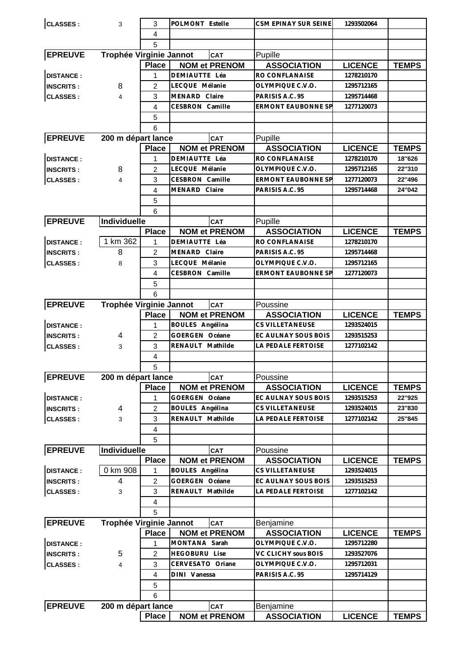| <b>CLASSES:</b>  | 3                       | 3              | POLMONT Estelle      | CSM EPINAY SUR SEINE      | 1293502064     |              |
|------------------|-------------------------|----------------|----------------------|---------------------------|----------------|--------------|
|                  |                         | $\overline{4}$ |                      |                           |                |              |
|                  |                         | 5              |                      |                           |                |              |
| <b>EPREUVE</b>   | Trophée Virginie Jannot |                | CAT                  | Pupille                   |                |              |
|                  |                         | <b>Place</b>   | <b>NOM et PRENOM</b> | <b>ASSOCIATION</b>        | <b>LICENCE</b> | <b>TEMPS</b> |
| <b>DISTANCE:</b> |                         | 1              | DEMIAUTTE Léa        | RO CONFLANAISE            | 1278210170     |              |
| <b>INSCRITS:</b> | 8                       | 2              | LECQUE Mélanie       | OLYMPIQUE C.V.O.          | 1295712165     |              |
| <b>CLASSES:</b>  | $\overline{4}$          | 3              | MENARD Claire        | PARISIS A.C. 95           | 1295714468     |              |
|                  |                         | 4              | CESBRON Camille      | <b>ERMONT EAUBONNE SP</b> | 1277120073     |              |
|                  |                         |                |                      |                           |                |              |
|                  |                         | 5              |                      |                           |                |              |
|                  |                         | 6              |                      |                           |                |              |
| <b>EPREUVE</b>   | 200 m départ lance      |                | CAT                  | Pupille                   |                |              |
|                  |                         | <b>Place</b>   | <b>NOM et PRENOM</b> | <b>ASSOCIATION</b>        | <b>LICENCE</b> | <b>TEMPS</b> |
| <b>DISTANCE:</b> |                         | 1              | DEMIAUTTE Léa        | RO CONFLANAISE            | 1278210170     | 18"626       |
| <b>INSCRITS:</b> | 8                       | $\overline{2}$ | LECQUE Mélanie       | OLYMPIQUE C.V.O.          | 1295712165     | 22"310       |
| <b>CLASSES:</b>  | $\overline{4}$          | 3              | CESBRON Camille      | <b>ERMONT EAUBONNE SP</b> | 1277120073     | 22"496       |
|                  |                         | 4              | MENARD Claire        | PARISIS A.C. 95           | 1295714468     | 24"042       |
|                  |                         | 5              |                      |                           |                |              |
|                  |                         | 6              |                      |                           |                |              |
| <b>EPREUVE</b>   | Individuelle            |                | CAT                  | Pupille                   |                |              |
|                  |                         | <b>Place</b>   | <b>NOM et PRENOM</b> | <b>ASSOCIATION</b>        | <b>LICENCE</b> | <b>TEMPS</b> |
| <b>DISTANCE:</b> | 1 km $362$              | 1              | DEMIAUTTE Léa        | RO CONFLANAISE            | 1278210170     |              |
| <b>INSCRITS:</b> | 8                       | $\overline{2}$ | MENARD Claire        | PARISIS A.C. 95           | 1295714468     |              |
| <b>CLASSES:</b>  | 8                       | 3              | LECQUE Mélanie       | OLYMPIQUE C.V.O.          | 1295712165     |              |
|                  |                         | $\overline{4}$ | CESBRON Camille      | <b>ERMONT EAUBONNE SP</b> | 1277120073     |              |
|                  |                         | 5              |                      |                           |                |              |
|                  |                         | 6              |                      |                           |                |              |
| <b>EPREUVE</b>   | Trophée Virginie Jannot |                | CAT                  | Poussine                  |                |              |
|                  |                         | <b>Place</b>   | <b>NOM et PRENOM</b> | <b>ASSOCIATION</b>        | <b>LICENCE</b> | <b>TEMPS</b> |
| <b>DISTANCE:</b> |                         | 1              | BOULES Angélina      | CS VILLETANEUSE           | 1293524015     |              |
| <b>INSCRITS:</b> | 4                       | $\overline{2}$ | GOERGEN Océane       | EC AULNAY SOUS BOIS       | 1293515253     |              |
| <b>CLASSES:</b>  | 3                       | 3              | RENAULT Mathilde     | LA PEDALE FERTOISE        | 1277102142     |              |
|                  |                         | $\overline{4}$ |                      |                           |                |              |
|                  |                         | 5              |                      |                           |                |              |
| <b>EPREUVE</b>   | 200 m départ lance      |                | <b>CAT</b>           | Poussine                  |                |              |
|                  |                         | <b>Place</b>   | <b>NOM et PRENOM</b> | <b>ASSOCIATION</b>        | <b>LICENCE</b> | <b>TEMPS</b> |
| <b>DISTANCE:</b> |                         | 1              | GOERGEN Océane       | EC AULNAY SOUS BOIS       | 1293515253     | 22"925       |
| <b>INSCRITS:</b> | 4                       | 2              | BOULES Angélina      | CS VILLETANEUSE           | 1293524015     | 23"830       |
| <b>CLASSES:</b>  | 3                       | 3              | RENAULT Mathilde     | LA PEDALE FERTOISE        | 1277102142     | 25"845       |
|                  |                         | 4              |                      |                           |                |              |
|                  |                         |                |                      |                           |                |              |
|                  |                         | 5              |                      |                           |                |              |
| <b>EPREUVE</b>   | Individuelle            |                | CAT                  | Poussine                  |                |              |
|                  |                         | <b>Place</b>   | <b>NOM et PRENOM</b> | <b>ASSOCIATION</b>        | <b>LICENCE</b> | <b>TEMPS</b> |
| <b>DISTANCE:</b> | 0 km 908                | 1              | BOULES Angélina      | CS VILLETANEUSE           | 1293524015     |              |
| <b>INSCRITS:</b> | 4                       | 2              | GOERGEN Océane       | EC AULNAY SOUS BOIS       | 1293515253     |              |
| <b>CLASSES:</b>  | 3                       | 3              | RENAULT Mathilde     | LA PEDALE FERTOISE        | 1277102142     |              |
|                  |                         | 4              |                      |                           |                |              |
|                  |                         | 5              |                      |                           |                |              |
| <b>EPREUVE</b>   | Trophée Virginie Jannot |                | CAT                  | Benjamine                 |                |              |
|                  |                         | <b>Place</b>   | <b>NOM et PRENOM</b> | <b>ASSOCIATION</b>        | <b>LICENCE</b> | <b>TEMPS</b> |
| <b>DISTANCE:</b> |                         | 1              | MONTANA Sarah        | OLYMPIQUE C.V.O.          | 1295712280     |              |
| <b>INSCRITS:</b> | 5                       | 2              | <b>HEGOBURU Lise</b> | VC CLICHY sous BOIS       | 1293527076     |              |
| <b>CLASSES:</b>  | 4                       | 3              | CERVESATO Oriane     | OLYMPIQUE C.V.O.          | 1295712031     |              |
|                  |                         | 4              | DINI Vanessa         | PARISIS A.C. 95           | 1295714129     |              |
|                  |                         | 5              |                      |                           |                |              |
|                  |                         | 6              |                      |                           |                |              |
| <b>EPREUVE</b>   | 200 m départ lance      |                | CAT                  | Benjamine                 |                |              |
|                  |                         | <b>Place</b>   | <b>NOM et PRENOM</b> | <b>ASSOCIATION</b>        | <b>LICENCE</b> | <b>TEMPS</b> |